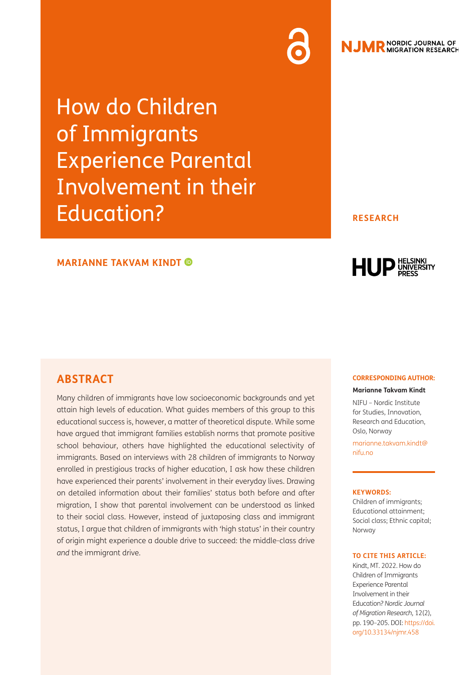How do Children of Immigrants Experience Parental Involvement in their Education?

### **RESEARCH**

### **MARIANNE TAKVAM KINDT**

# **ABSTRACT**

Many children of immigrants have low socioeconomic backgrounds and yet attain high levels of education. What guides members of this group to this educational success is, however, a matter of theoretical dispute. While some have argued that immigrant families establish norms that promote positive school behaviour, others have highlighted the educational selectivity of immigrants. Based on interviews with 28 children of immigrants to Norway enrolled in prestigious tracks of higher education, I ask how these children have experienced their parents' involvement in their everyday lives. Drawing on detailed information about their families' status both before and after migration, I show that parental involvement can be understood as linked to their social class. However, instead of juxtaposing class and immigrant status, I argue that children of immigrants with 'high status' in their country of origin might experience a double drive to succeed: the middle-class drive *and* the immigrant drive.

#### **CORRESPONDING AUTHOR:**

HUP UNIVERSITY

**Marianne Takvam Kindt**

NIFU – Nordic Institute for Studies, Innovation, Research and Education, Oslo, Norway

[marianne.takvam.kindt@](mailto:marianne.takvam.kindt@nifu.no) [nifu.no](mailto:marianne.takvam.kindt@nifu.no)

#### **KEYWORDS:**

Children of immigrants; Educational attainment; Social class; Ethnic capital; Norway

#### **TO CITE THIS ARTICLE:**

Kindt, MT. 2022. How do Children of Immigrants Experience Parental Involvement in their Education? *Nordic Journal of Migration Research,* 12(2), pp. 190–205. DOI: [https://doi.](https://doi.org/10.33134/njmr.458) [org/10.33134/njmr.458](https://doi.org/10.33134/njmr.458)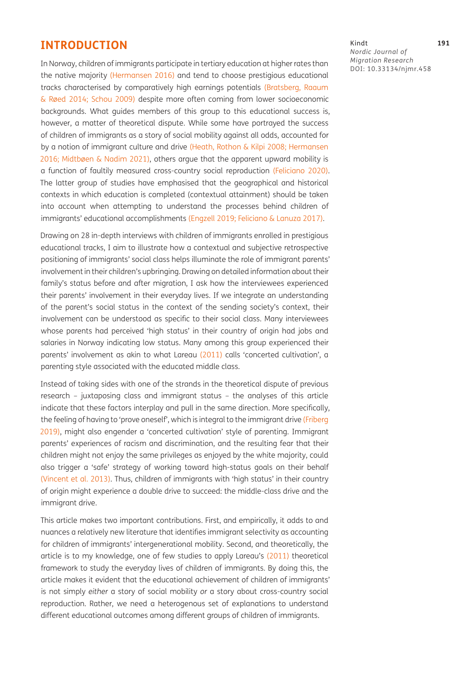### **INTRODUCTION**

In Norway, children of immigrants participate in tertiary education at higher rates than the native majority [\(Hermansen 2016\)](#page-13-0) and tend to choose prestigious educational tracks characterised by comparatively high earnings potentials (Bratsberg, Raaum & Røed 2014; [Schou 2009](#page-15-0)) despite more often coming from lower socioeconomic backgrounds. What guides members of this group to this educational success is, however, a matter of theoretical dispute. While some have portrayed the success of children of immigrants as a story of social mobility against all odds, accounted for by a notion of immigrant culture and drive ([Heath, Rothon & Kilpi 2008;](#page-13-1) [Hermansen](#page-13-0)  [2016](#page-13-0); Midtbøen & Nadim 2021), others argue that the apparent upward mobility is a function of faultily measured cross-country social reproduction [\(Feliciano 2020\)](#page-13-2). The latter group of studies have emphasised that the geographical and historical contexts in which education is completed (contextual attainment) should be taken into account when attempting to understand the processes behind children of immigrants' educational accomplishments [\(Engzell 2019](#page-13-3); [Feliciano & Lanuza 2017](#page-13-4)).

Drawing on 28 in-depth interviews with children of immigrants enrolled in prestigious educational tracks, I aim to illustrate how a contextual and subjective retrospective positioning of immigrants' social class helps illuminate the role of immigrant parents' involvement in their children's upbringing. Drawing on detailed information about their family's status before and after migration, I ask how the interviewees experienced their parents' involvement in their everyday lives. If we integrate an understanding of the parent's social status in the context of the sending society's context, their involvement can be understood as specific to their social class. Many interviewees whose parents had perceived 'high status' in their country of origin had jobs and salaries in Norway indicating low status. Many among this group experienced their parents' involvement as akin to what Lareau [\(2011\)](#page-14-0) calls 'concerted cultivation', a parenting style associated with the educated middle class.

Instead of taking sides with one of the strands in the theoretical dispute of previous research – juxtaposing class and immigrant status – the analyses of this article indicate that these factors interplay and pull in the same direction. More specifically, the feeling of having to 'prove oneself', which is integral to the immigrant drive ([Friberg](#page-13-5)  [2019](#page-13-5)), might also engender a 'concerted cultivation' style of parenting. Immigrant parents' experiences of racism and discrimination, and the resulting fear that their children might not enjoy the same privileges as enjoyed by the white majority, could also trigger a 'safe' strategy of working toward high-status goals on their behalf [\(Vincent et al. 2013](#page-15-1)). Thus, children of immigrants with 'high status' in their country of origin might experience a double drive to succeed: the middle-class drive and the immigrant drive.

This article makes two important contributions. First, and empirically, it adds to and nuances a relatively new literature that identifies immigrant selectivity as accounting for children of immigrants' intergenerational mobility. Second, and theoretically, the article is to my knowledge, one of few studies to apply Lareau's ([2011\)](#page-14-0) theoretical framework to study the everyday lives of children of immigrants. By doing this, the article makes it evident that the educational achievement of children of immigrants' is not simply *either* a story of social mobility *or* a story about cross-country social reproduction. Rather, we need a heterogenous set of explanations to understand different educational outcomes among different groups of children of immigrants.

Kindt **191** *Nordic Journal of Migration Research* DOI: [10.33134/njmr.458](https://doi.org/10.33134/njmr.458)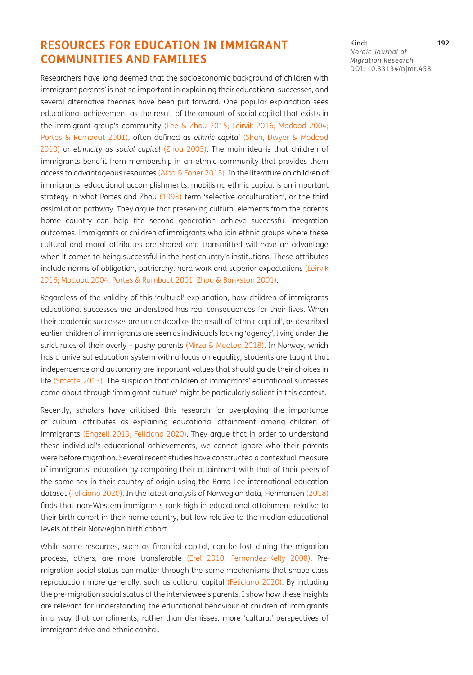# **RESOURCES FOR EDUCATION IN IMMIGRANT COMMUNITIES AND FAMILIES**

Researchers have long deemed that the socioeconomic background of children with immigrant parents' is not so important in explaining their educational successes, and several alternative theories have been put forward. One popular explanation sees educational achievement as the result of the amount of social capital that exists in the immigrant group's community ([Lee & Zhou 2015;](#page-14-1) [Leirvik 2016](#page-14-2); [Modood 2004;](#page-14-3) [Portes & Rumbaut 2001\)](#page-14-4), often defined as *ethnic capital* ([Shah, Dwyer & Modood](#page-15-2)  [2010](#page-15-2)) or *ethnicity as social capital* [\(Zhou 2005](#page-15-3)). The main idea is that children of immigrants benefit from membership in an ethnic community that provides them access to advantageous resources ([Alba & Foner 2015](#page-12-0)). In the literature on children of immigrants' educational accomplishments, mobilising ethnic capital is an important strategy in what Portes and Zhou ([1993](#page-14-5)) term 'selective acculturation', or the third assimilation pathway. They argue that preserving cultural elements from the parents' home country can help the second generation achieve successful integration outcomes. Immigrants or children of immigrants who join ethnic groups where these cultural and moral attributes are shared and transmitted will have an advantage when it comes to being successful in the host country's institutions. These attributes include norms of obligation, patriarchy, hard work and superior expectations ([Leirvik](#page-14-2)  [2016](#page-14-2); [Modood 2004;](#page-14-3) [Portes & Rumbaut 2001;](#page-14-4) [Zhou & Bankston 2001\)](#page-15-4).

Regardless of the validity of this 'cultural' explanation, how children of immigrants' educational successes are understood has real consequences for their lives. When their academic successes are understood as the result of 'ethnic capital', as described earlier, children of immigrants are seen as individuals lacking 'agency', living under the strict rules of their overly – pushy parents ([Mirza & Meetoo 2018\)](#page-14-6). In Norway, which has a universal education system with a focus on equality, students are taught that independence and autonomy are important values that should guide their choices in life ([Smette 2015](#page-15-5)). The suspicion that children of immigrants' educational successes come about through 'immigrant culture' might be particularly salient in this context.

Recently, scholars have criticised this research for overplaying the importance of cultural attributes as explaining educational attainment among children of immigrants ([Engzell 2019](#page-13-3); [Feliciano 2020](#page-13-2)). They argue that in order to understand these individual's educational achievements, we cannot ignore who their parents were before migration. Several recent studies have constructed a contextual measure of immigrants' education by comparing their attainment with that of their peers of the same sex in their country of origin using the Barro-Lee international education dataset ([Feliciano 2020\)](#page-13-2). In the latest analysis of Norwegian data, Hermansen [\(2018](#page-13-6)) finds that non-Western immigrants rank high in educational attainment relative to their birth cohort in their home country, but low relative to the median educational levels of their Norwegian birth cohort.

While some resources, such as financial capital, can be lost during the migration process, others, are more transferable ([Erel 2010;](#page-13-7) Fernández-Kelly 2008). Premigration social status can matter through the same mechanisms that shape class reproduction more generally, such as cultural capital [\(Feliciano 2020](#page-13-2)). By including the pre-migration social status of the interviewee's parents, I show how these insights are relevant for understanding the educational behaviour of children of immigrants in a way that compliments, rather than dismisses, more 'cultural' perspectives of immigrant drive and ethnic capital.

Kindt **192** *Nordic Journal of Migration Research* DOI: [10.33134/njmr.458](https://doi.org/10.33134/njmr.458)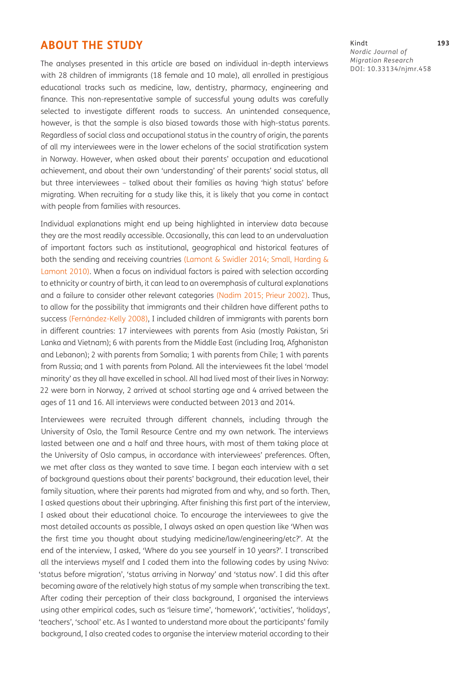## **ABOUT THE STUDY**

The analyses presented in this article are based on individual in-depth interviews with 28 children of immigrants (18 female and 10 male), all enrolled in prestigious educational tracks such as medicine, law, dentistry, pharmacy, engineering and finance. This non-representative sample of successful young adults was carefully selected to investigate different roads to success. An unintended consequence, however, is that the sample is also biased towards those with high-status parents. Regardless of social class and occupational status in the country of origin, the parents of all my interviewees were in the lower echelons of the social stratification system in Norway. However, when asked about their parents' occupation and educational achievement, and about their own 'understanding' of their parents' social status, all but three interviewees – talked about their families as having 'high status' before migrating. When recruiting for a study like this, it is likely that you come in contact with people from families with resources.

Individual explanations might end up being highlighted in interview data because they are the most readily accessible. Occasionally, this can lead to an undervaluation of important factors such as institutional, geographical and historical features of both the sending and receiving countries ([Lamont & Swidler 2014](#page-14-7); [Small, Harding &](#page-15-6)  [Lamont 2010](#page-15-6)). When a focus on individual factors is paired with selection according to ethnicity or country of birth, it can lead to an overemphasis of cultural explanations and a failure to consider other relevant categories ([Nadim 2015;](#page-14-8) [Prieur 2002](#page-14-9)). Thus, to allow for the possibility that immigrants and their children have different paths to success (Fernández-Kelly 2008), I included children of immigrants with parents born in different countries: 17 interviewees with parents from Asia (mostly Pakistan, Sri Lanka and Vietnam); 6 with parents from the Middle East (including Iraq, Afghanistan and Lebanon); 2 with parents from Somalia; 1 with parents from Chile; 1 with parents from Russia; and 1 with parents from Poland. All the interviewees fit the label 'model minority' as they all have excelled in school. All had lived most of their lives in Norway: 22 were born in Norway, 2 arrived at school starting age and 4 arrived between the ages of 11 and 16. All interviews were conducted between 2013 and 2014.

Interviewees were recruited through different channels, including through the University of Oslo, the Tamil Resource Centre and my own network. The interviews lasted between one and a half and three hours, with most of them taking place at the University of Oslo campus, in accordance with interviewees' preferences. Often, we met after class as they wanted to save time. I began each interview with a set of background questions about their parents' background, their education level, their family situation, where their parents had migrated from and why, and so forth. Then, I asked questions about their upbringing. After finishing this first part of the interview, I asked about their educational choice. To encourage the interviewees to give the most detailed accounts as possible, I always asked an open question like 'When was the first time you thought about studying medicine/law/engineering/etc?'. At the end of the interview, I asked, 'Where do you see yourself in 10 years?'. I transcribed all the interviews myself and I coded them into the following codes by using Nvivo: 'status before migration', 'status arriving in Norway' and 'status now'. I did this after becoming aware of the relatively high status of my sample when transcribing the text. After coding their perception of their class background, I organised the interviews using other empirical codes, such as 'leisure time', 'homework', 'activities', 'holidays', 'teachers', 'school' etc. As I wanted to understand more about the participants' family background, I also created codes to organise the interview material according to their

Kindt **193** *Nordic Journal of Migration Research* DOI: [10.33134/njmr.458](https://doi.org/10.33134/njmr.458)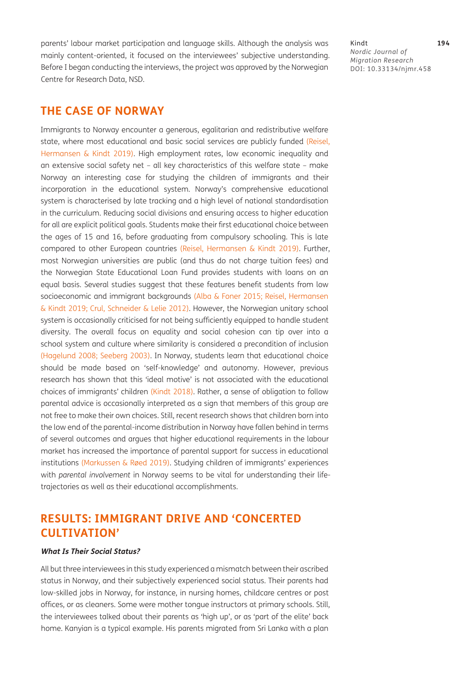parents' labour market participation and language skills. Although the analysis was mainly content-oriented, it focused on the interviewees' subjective understanding. Before I began conducting the interviews, the project was approved by the Norwegian Centre for Research Data, NSD.

**THE CASE OF NORWAY**

Immigrants to Norway encounter a generous, egalitarian and redistributive welfare state, where most educational and basic social services are publicly funded [\(Reisel,](#page-14-10) [Hermansen & Kindt 2019](#page-14-10)). High employment rates, low economic inequality and an extensive social safety net – all key characteristics of this welfare state – make Norway an interesting case for studying the children of immigrants and their incorporation in the educational system. Norway's comprehensive educational system is characterised by late tracking and a high level of national standardisation in the curriculum. Reducing social divisions and ensuring access to higher education for all are explicit political goals. Students make their first educational choice between the ages of 15 and 16, before graduating from compulsory schooling. This is late compared to other European countries ([Reisel, Hermansen & Kindt 2019](#page-14-10)). Further, most Norwegian universities are public (and thus do not charge tuition fees) and the Norwegian State Educational Loan Fund provides students with loans on an equal basis. Several studies suggest that these features benefit students from low socioeconomic and immigrant backgrounds [\(Alba & Foner 2015;](#page-12-0) [Reisel, Hermansen](#page-14-10)  [& Kindt 2019](#page-14-10); [Crul, Schneider & Lelie 2012\)](#page-13-8). However, the Norwegian unitary school system is occasionally criticised for not being sufficiently equipped to handle student diversity. The overall focus on equality and social cohesion can tip over into a school system and culture where similarity is considered a precondition of inclusion [\(Hagelund 2008;](#page-13-9) [Seeberg 2003\)](#page-15-7). In Norway, students learn that educational choice should be made based on 'self-knowledge' and autonomy. However, previous research has shown that this 'ideal motive' is not associated with the educational choices of immigrants' children ([Kindt 2018](#page-13-10)). Rather, a sense of obligation to follow parental advice is occasionally interpreted as a sign that members of this group are not free to make their own choices. Still, recent research shows that children born into the low end of the parental-income distribution in Norway have fallen behind in terms of several outcomes and argues that higher educational requirements in the labour market has increased the importance of parental support for success in educational institutions (Markussen & Røed 2019). Studying children of immigrants' experiences with *parental involvement* in Norway seems to be vital for understanding their lifetrajectories as well as their educational accomplishments.

# **RESULTS: IMMIGRANT DRIVE AND 'CONCERTED CULTIVATION'**

#### **What Is Their Social Status?**

All but three interviewees in this study experienced a mismatch between their ascribed status in Norway, and their subjectively experienced social status. Their parents had low-skilled jobs in Norway, for instance, in nursing homes, childcare centres or post offices, or as cleaners. Some were mother tongue instructors at primary schools. Still, the interviewees talked about their parents as 'high up', or as 'part of the elite' back home. Kanyian is a typical example. His parents migrated from Sri Lanka with a plan

Kindt **194** *Nordic Journal of Migration Research* DOI: [10.33134/njmr.458](https://doi.org/10.33134/njmr.458)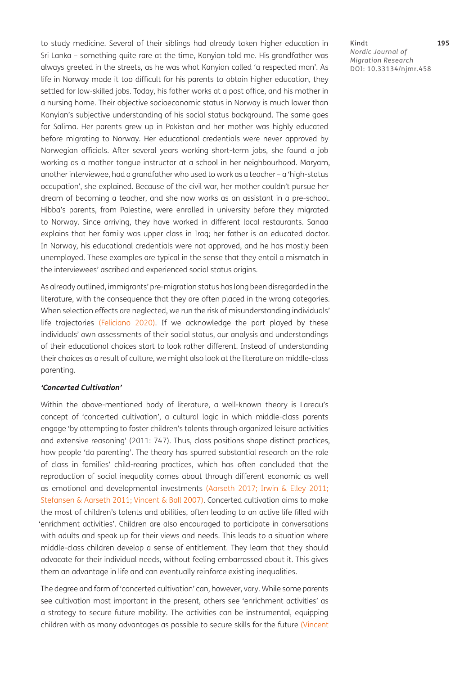to study medicine. Several of their siblings had already taken higher education in Sri Lanka – something quite rare at the time, Kanyian told me. His grandfather was always greeted in the streets, as he was what Kanyian called 'a respected man'. As life in Norway made it too difficult for his parents to obtain higher education, they settled for low-skilled jobs. Today, his father works at a post office, and his mother in a nursing home. Their objective socioeconomic status in Norway is much lower than Kanyian's subjective understanding of his social status background. The same goes for Salima. Her parents grew up in Pakistan and her mother was highly educated before migrating to Norway. Her educational credentials were never approved by Norwegian officials. After several years working short-term jobs, she found a job working as a mother tongue instructor at a school in her neighbourhood. Maryam, another interviewee, had a grandfather who used to work as a teacher – a 'high-status occupation', she explained. Because of the civil war, her mother couldn't pursue her dream of becoming a teacher, and she now works as an assistant in a pre-school. Hibba's parents, from Palestine, were enrolled in university before they migrated to Norway. Since arriving, they have worked in different local restaurants. Sanaa explains that her family was upper class in Iraq; her father is an educated doctor. In Norway, his educational credentials were not approved, and he has mostly been unemployed. These examples are typical in the sense that they entail a mismatch in the interviewees' ascribed and experienced social status origins.

As already outlined, immigrants' pre-migration status has long been disregarded in the literature, with the consequence that they are often placed in the wrong categories. When selection effects are neglected, we run the risk of misunderstanding individuals' life trajectories [\(Feliciano 2020](#page-13-2)). If we acknowledge the part played by these individuals' own assessments of their social status, our analysis and understandings of their educational choices start to look rather different. Instead of understanding their choices as a result of culture, we might also look at the literature on middle-class parenting.

#### **'Concerted Cultivation'**

Within the above-mentioned body of literature, a well-known theory is Lareau's concept of 'concerted cultivation', a cultural logic in which middle-class parents engage 'by attempting to foster children's talents through organized leisure activities and extensive reasoning' (2011: 747). Thus, class positions shape distinct practices, how people 'do parenting'. The theory has spurred substantial research on the role of class in families' child-rearing practices, which has often concluded that the reproduction of social inequality comes about through different economic as well as emotional and developmental investments ([Aarseth 2017](#page-12-1); [Irwin & Elley 2011;](#page-13-11) [Stefansen & Aarseth 2011;](#page-15-8) [Vincent & Ball 2007\)](#page-15-9). Concerted cultivation aims to make the most of children's talents and abilities, often leading to an active life filled with 'enrichment activities'. Children are also encouraged to participate in conversations with adults and speak up for their views and needs. This leads to a situation where middle-class children develop a sense of entitlement. They learn that they should advocate for their individual needs, without feeling embarrassed about it. This gives them an advantage in life and can eventually reinforce existing inequalities.

The degree and form of 'concerted cultivation' can, however, vary. While some parents see cultivation most important in the present, others see 'enrichment activities' as a strategy to secure future mobility. The activities can be instrumental, equipping children with as many advantages as possible to secure skills for the future [\(Vincent](#page-15-10) Kindt **195** *Nordic Journal of Migration Research* DOI: [10.33134/njmr.458](https://doi.org/10.33134/njmr.458)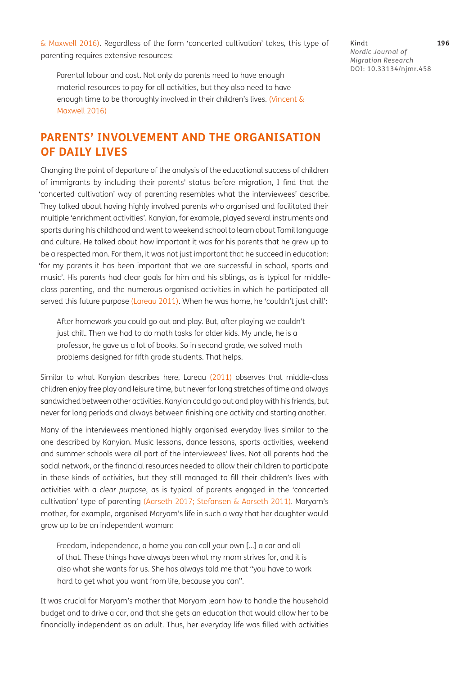[& Maxwell 2016\)](#page-15-10). Regardless of the form 'concerted cultivation' takes, this type of parenting requires extensive resources:

Parental labour and cost. Not only do parents need to have enough material resources to pay for all activities, but they also need to have enough time to be thoroughly involved in their children's lives. ([Vincent &](#page-15-10)  [Maxwell 2016\)](#page-15-10)

# **PARENTS' INVOLVEMENT AND THE ORGANISATION OF DAILY LIVES**

Changing the point of departure of the analysis of the educational success of children of immigrants by including their parents' status before migration, I find that the 'concerted cultivation' way of parenting resembles what the interviewees' describe. They talked about having highly involved parents who organised and facilitated their multiple 'enrichment activities'. Kanyian, for example, played several instruments and sports during his childhood and went to weekend school to learn about Tamil language and culture. He talked about how important it was for his parents that he grew up to be a respected man. For them, it was not just important that he succeed in education: 'for my parents it has been important that we are successful in school, sports and music'. His parents had clear goals for him and his siblings, as is typical for middleclass parenting, and the numerous organised activities in which he participated all served this future purpose [\(Lareau 2011\)](#page-14-0). When he was home, he 'couldn't just chill':

After homework you could go out and play. But, after playing we couldn't just chill. Then we had to do math tasks for older kids. My uncle, he is a professor, he gave us a lot of books. So in second grade, we solved math problems designed for fifth grade students. That helps.

Similar to what Kanyian describes here, Lareau ([2011\)](#page-14-0) observes that middle-class children enjoy free play and leisure time, but never for long stretches of time and always sandwiched between other activities. Kanyian could go out and play with his friends, but never for long periods and always between finishing one activity and starting another.

Many of the interviewees mentioned highly organised everyday lives similar to the one described by Kanyian. Music lessons, dance lessons, sports activities, weekend and summer schools were all part of the interviewees' lives. Not all parents had the social network, or the financial resources needed to allow their children to participate in these kinds of activities, but they still managed to fill their children's lives with activities with a *clear purpose*, as is typical of parents engaged in the 'concerted cultivation' type of parenting [\(Aarseth 2017](#page-12-1); [Stefansen & Aarseth 2011\)](#page-15-8). Maryam's mother, for example, organised Maryam's life in such a way that her daughter would grow up to be an independent woman:

Freedom, independence, a home you can call your own […] a car and all of that. These things have always been what my mom strives for, and it is also what she wants for us. She has always told me that "you have to work hard to get what you want from life, because you can".

It was crucial for Maryam's mother that Maryam learn how to handle the household budget and to drive a car, and that she gets an education that would allow her to be financially independent as an adult. Thus, her everyday life was filled with activities

Kindt **196** *Nordic Journal of Migration Research* DOI: [10.33134/njmr.458](https://doi.org/10.33134/njmr.458)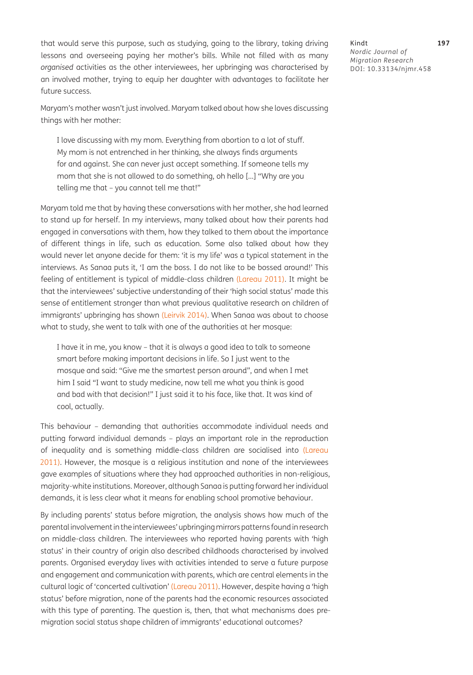that would serve this purpose, such as studying, going to the library, taking driving lessons and overseeing paying her mother's bills. While not filled with as many *organised* activities as the other interviewees, her upbringing was characterised by an involved mother, trying to equip her daughter with advantages to facilitate her future success.

Maryam's mother wasn't just involved. Maryam talked about how she loves discussing things with her mother:

I love discussing with my mom. Everything from abortion to a lot of stuff. My mom is not entrenched in her thinking, she always finds arguments for and against. She can never just accept something. If someone tells my mom that she is not allowed to do something, oh hello […] "Why are you telling me that – you cannot tell me that!"

Maryam told me that by having these conversations with her mother, she had learned to stand up for herself. In my interviews, many talked about how their parents had engaged in conversations with them, how they talked to them about the importance of different things in life, such as education. Some also talked about how they would never let anyone decide for them: 'it is my life' was a typical statement in the interviews. As Sanaa puts it, 'I am the boss. I do not like to be bossed around!' This feeling of entitlement is typical of middle-class children ([Lareau 2011](#page-14-0)). It might be that the interviewees' subjective understanding of their 'high social status' made this sense of entitlement stronger than what previous qualitative research on children of immigrants' upbringing has shown [\(Leirvik 2014\)](#page-14-11). When Sanaa was about to choose what to study, she went to talk with one of the authorities at her mosque:

I have it in me, you know – that it is always a good idea to talk to someone smart before making important decisions in life. So I just went to the mosque and said: "Give me the smartest person around", and when I met him I said "I want to study medicine, now tell me what you think is good and bad with that decision!" I just said it to his face, like that. It was kind of cool, actually.

This behaviour – demanding that authorities accommodate individual needs and putting forward individual demands – plays an important role in the reproduction of inequality and is something middle-class children are socialised into [\(Lareau](#page-14-0)  [2011](#page-14-0)). However, the mosque is a religious institution and none of the interviewees gave examples of situations where they had approached authorities in non-religious, majority-white institutions. Moreover, although Sanaa is putting forward her individual demands, it is less clear what it means for enabling school promotive behaviour.

By including parents' status before migration, the analysis shows how much of the parental involvement in the interviewees' upbringing mirrors patterns found in research on middle-class children. The interviewees who reported having parents with 'high status' in their country of origin also described childhoods characterised by involved parents. Organised everyday lives with activities intended to serve a future purpose and engagement and communication with parents, which are central elements in the cultural logic of 'concerted cultivation' [\(Lareau 2011](#page-14-0)). However, despite having a 'high status' before migration, none of the parents had the economic resources associated with this type of parenting. The question is, then, that what mechanisms does premigration social status shape children of immigrants' educational outcomes?

Kindt **197** *Nordic Journal of Migration Research* DOI: [10.33134/njmr.458](https://doi.org/10.33134/njmr.458)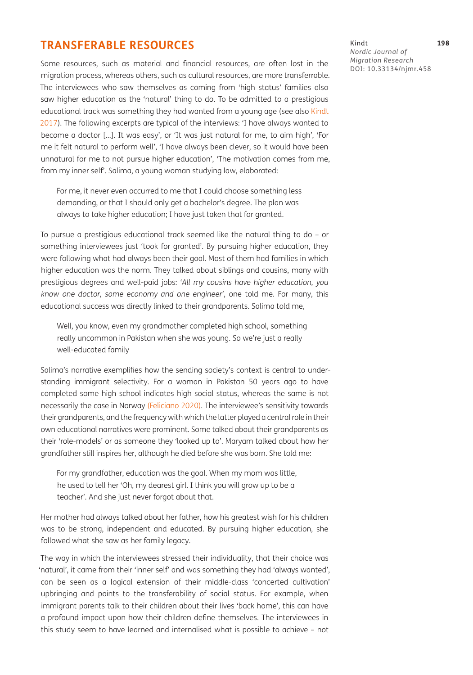# **TRANSFERABLE RESOURCES**

Some resources, such as material and financial resources, are often lost in the migration process, whereas others, such as cultural resources, are more transferrable. The interviewees who saw themselves as coming from 'high status' families also saw higher education as the 'natural' thing to do. To be admitted to a prestigious educational track was something they had wanted from a young age (see also [Kindt](#page-13-12) [2017](#page-13-12)). The following excerpts are typical of the interviews: 'I have always wanted to become a doctor […]. It was easy', or 'It was just natural for me, to aim high', 'For me it felt natural to perform well', 'I have always been clever, so it would have been unnatural for me to not pursue higher education', 'The motivation comes from me, from my inner self'. Salima, a young woman studying law, elaborated:

For me, it never even occurred to me that I could choose something less demanding, or that I should only get a bachelor's degree. The plan was always to take higher education; I have just taken that for granted.

To pursue a prestigious educational track seemed like the natural thing to do – or something interviewees just 'took for granted'. By pursuing higher education, they were following what had always been their goal. Most of them had families in which higher education was the norm. They talked about siblings and cousins, many with prestigious degrees and well-paid jobs: *'All my cousins have higher education, you know one doctor, some economy and one engineer'*, one told me. For many, this educational success was directly linked to their grandparents. Salima told me,

Well, you know, even my grandmother completed high school, something really uncommon in Pakistan when she was young. So we're just a really well-educated family

Salima's narrative exemplifies how the sending society's context is central to understanding immigrant selectivity. For a woman in Pakistan 50 years ago to have completed some high school indicates high social status, whereas the same is not necessarily the case in Norway [\(Feliciano 2020](#page-13-2)). The interviewee's sensitivity towards their grandparents, and the frequency with which the latter played a central role in their own educational narratives were prominent. Some talked about their grandparents as their 'role-models' or as someone they 'looked up to'. Maryam talked about how her grandfather still inspires her, although he died before she was born. She told me:

For my grandfather, education was the goal. When my mom was little, he used to tell her 'Oh, my dearest girl. I think you will grow up to be a teacher'. And she just never forgot about that.

Her mother had always talked about her father, how his greatest wish for his children was to be strong, independent and educated. By pursuing higher education, she followed what she saw as her family legacy.

The way in which the interviewees stressed their individuality, that their choice was 'natural', it came from their 'inner self' and was something they had 'always wanted', can be seen as a logical extension of their middle-class 'concerted cultivation' upbringing and points to the transferability of social status. For example, when immigrant parents talk to their children about their lives 'back home', this can have a profound impact upon how their children define themselves. The interviewees in this study seem to have learned and internalised what is possible to achieve – not

Kindt **198** *Nordic Journal of Migration Research* DOI: [10.33134/njmr.458](https://doi.org/10.33134/njmr.458)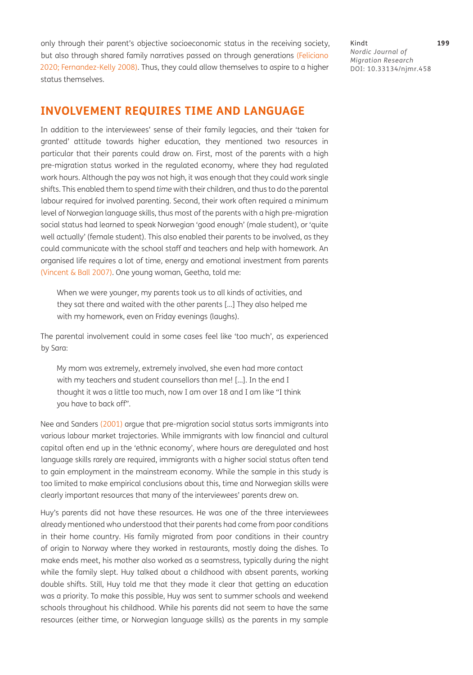only through their parent's objective socioeconomic status in the receiving society, but also through shared family narratives passed on through generations ([Feliciano](#page-13-2)  [2020](#page-13-2); Fernandez-Kelly 2008). Thus, they could allow themselves to aspire to a higher status themselves.

Kindt **199** *Nordic Journal of Migration Research* DOI: [10.33134/njmr.458](https://doi.org/10.33134/njmr.458)

## **INVOLVEMENT REQUIRES TIME AND LANGUAGE**

In addition to the interviewees' sense of their family legacies, and their 'taken for granted' attitude towards higher education, they mentioned two resources in particular that their parents could draw on. First, most of the parents with a high pre-migration status worked in the regulated economy, where they had regulated work hours. Although the pay was not high, it was enough that they could work single shifts. This enabled them to spend *time* with their children, and thus to do the parental labour required for involved parenting. Second, their work often required a minimum level of Norwegian language skills, thus most of the parents with a high pre-migration social status had learned to speak Norwegian 'good enough' (male student), or 'quite well actually' (female student). This also enabled their parents to be involved, as they could communicate with the school staff and teachers and help with homework. An organised life requires a lot of time, energy and emotional investment from parents [\(Vincent & Ball 2007](#page-15-9)). One young woman, Geetha, told me:

When we were younger, my parents took us to all kinds of activities, and they sat there and waited with the other parents […] They also helped me with my homework, even on Friday evenings (laughs).

The parental involvement could in some cases feel like 'too much', as experienced by Sara:

My mom was extremely, extremely involved, she even had more contact with my teachers and student counsellors than me! […]. In the end I thought it was a little too much, now I am over 18 and I am like "I think you have to back off".

Nee and Sanders ([2001](#page-14-12)) argue that pre-migration social status sorts immigrants into various labour market trajectories. While immigrants with low financial and cultural capital often end up in the 'ethnic economy', where hours are deregulated and host language skills rarely are required, immigrants with a higher social status often tend to gain employment in the mainstream economy. While the sample in this study is too limited to make empirical conclusions about this, time and Norwegian skills were clearly important resources that many of the interviewees' parents drew on.

Huy's parents did not have these resources. He was one of the three interviewees already mentioned who understood that their parents had come from poor conditions in their home country. His family migrated from poor conditions in their country of origin to Norway where they worked in restaurants, mostly doing the dishes. To make ends meet, his mother also worked as a seamstress, typically during the night while the family slept. Huy talked about a childhood with absent parents, working double shifts. Still, Huy told me that they made it clear that getting an education was a priority. To make this possible, Huy was sent to summer schools and weekend schools throughout his childhood. While his parents did not seem to have the same resources (either time, or Norwegian language skills) as the parents in my sample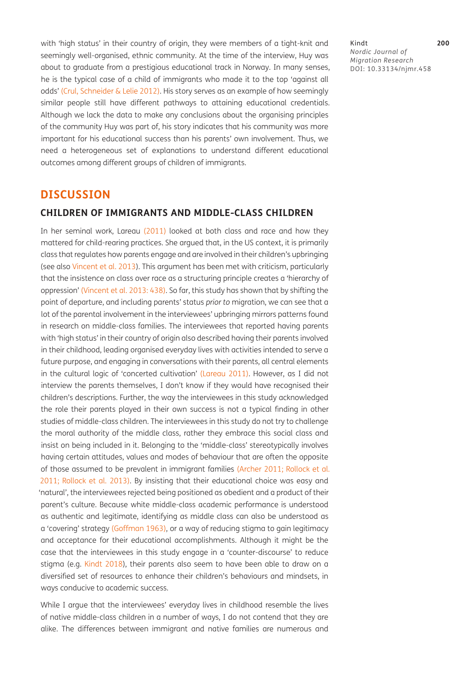with 'high status' in their country of origin, they were members of a tight-knit and seemingly well-organised, ethnic community. At the time of the interview, Huy was about to graduate from a prestigious educational track in Norway. In many senses, he is the typical case of a child of immigrants who made it to the top 'against all odds' ([Crul, Schneider & Lelie 2012](#page-13-8)). His story serves as an example of how seemingly similar people still have different pathways to attaining educational credentials. Although we lack the data to make any conclusions about the organising principles of the community Huy was part of, his story indicates that his community was more important for his educational success than his parents' own involvement. Thus, we need a heterogeneous set of explanations to understand different educational outcomes among different groups of children of immigrants.

### **DISCUSSION**

### **CHILDREN OF IMMIGRANTS AND MIDDLE-CLASS CHILDREN**

In her seminal work, Lareau [\(2011\)](#page-14-0) looked at both class and race and how they mattered for child-rearing practices. She argued that, in the US context, it is primarily class that regulates how parents engage and are involved in their children's upbringing (see also [Vincent et al. 2013\)](#page-15-1). This argument has been met with criticism, particularly that the insistence on class over race as a structuring principle creates a 'hierarchy of oppression' ([Vincent et al. 2013: 438](#page-15-1)). So far, this study has shown that by shifting the point of departure, and including parents' status *prior to* migration, we can see that a lot of the parental involvement in the interviewees' upbringing mirrors patterns found in research on middle-class families. The interviewees that reported having parents with 'high status' in their country of origin also described having their parents involved in their childhood, leading organised everyday lives with activities intended to serve a future purpose, and engaging in conversations with their parents, all central elements in the cultural logic of 'concerted cultivation' ([Lareau 2011](#page-14-0)). However, as I did not interview the parents themselves, I don't know if they would have recognised their children's descriptions. Further, the way the interviewees in this study acknowledged the role their parents played in their own success is not a typical finding in other studies of middle-class children. The interviewees in this study do not try to challenge the moral authority of the middle class, rather they embrace this social class and insist on being included in it. Belonging to the 'middle-class' stereotypically involves having certain attitudes, values and modes of behaviour that are often the opposite of those assumed to be prevalent in immigrant families [\(Archer 2011;](#page-12-2) [Rollock et al.](#page-14-13) [2011](#page-14-13); [Rollock et al. 2013\)](#page-14-14). By insisting that their educational choice was easy and 'natural', the interviewees rejected being positioned as obedient and a product of their parent's culture. Because white middle-class academic performance is understood as authentic and legitimate, identifying as middle class can also be understood as a 'covering' strategy ([Goffman 1963\)](#page-13-13), or a way of reducing stigma to gain legitimacy and acceptance for their educational accomplishments. Although it might be the case that the interviewees in this study engage in a 'counter-discourse' to reduce stigma (e.g. [Kindt 2018\)](#page-13-10), their parents also seem to have been able to draw on a diversified set of resources to enhance their children's behaviours and mindsets, in ways conducive to academic success.

While I argue that the interviewees' everyday lives in childhood resemble the lives of native middle-class children in a number of ways, I do not contend that they are alike. The differences between immigrant and native families are numerous and Kindt **200** *Nordic Journal of Migration Research* DOI: [10.33134/njmr.458](https://doi.org/10.33134/njmr.458)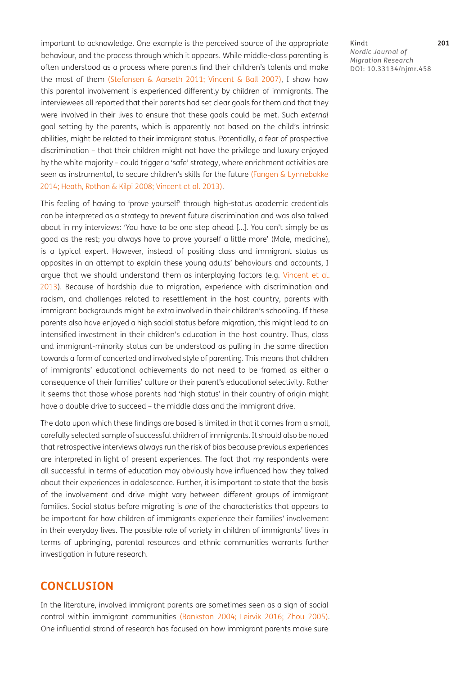important to acknowledge. One example is the perceived source of the appropriate behaviour, and the process through which it appears. While middle-class parenting is often understood as a process where parents find their children's talents and make the most of them ([Stefansen & Aarseth 2011](#page-15-8); [Vincent & Ball 2007\)](#page-15-9), I show how this parental involvement is experienced differently by children of immigrants. The interviewees all reported that their parents had set clear goals for them and that they were involved in their lives to ensure that these goals could be met. Such *external* goal setting by the parents, which is apparently not based on the child's intrinsic abilities, might be related to their immigrant status. Potentially, a fear of prospective discrimination – that their children might not have the privilege and luxury enjoyed by the white majority – could trigger a 'safe' strategy, where enrichment activities are seen as instrumental, to secure children's skills for the future (Fangen & Lynnebakke [2014](#page-13-14); [Heath, Rothon & Kilpi 2008;](#page-13-1) [Vincent et al. 2013\)](#page-15-1).

This feeling of having to 'prove yourself' through high-status academic credentials can be interpreted as a strategy to prevent future discrimination and was also talked about in my interviews: 'You have to be one step ahead […]. You can't simply be as good as the rest; you always have to prove yourself a little more' (Male, medicine), is a typical expert. However, instead of positing class and immigrant status as opposites in an attempt to explain these young adults' behaviours and accounts, I argue that we should understand them as interplaying factors (e.g. [Vincent et al.](#page-15-1) [2013](#page-15-1)). Because of hardship due to migration, experience with discrimination and racism, and challenges related to resettlement in the host country, parents with immigrant backgrounds might be extra involved in their children's schooling. If these parents also have enjoyed a high social status before migration, this might lead to an intensified investment in their children's education in the host country. Thus, class and immigrant-minority status can be understood as pulling in the same direction towards a form of concerted and involved style of parenting. This means that children of immigrants' educational achievements do not need to be framed as either a consequence of their families' culture *or* their parent's educational selectivity. Rather it seems that those whose parents had 'high status' in their country of origin might have a double drive to succeed – the middle class and the immigrant drive.

The data upon which these findings are based is limited in that it comes from a small, carefully selected sample of successful children of immigrants. It should also be noted that retrospective interviews always run the risk of bias because previous experiences are interpreted in light of present experiences. The fact that my respondents were all successful in terms of education may obviously have influenced how they talked about their experiences in adolescence. Further, it is important to state that the basis of the involvement and drive might vary between different groups of immigrant families. Social status before migrating is *one* of the characteristics that appears to be important for how children of immigrants experience their families' involvement in their everyday lives. The possible role of variety in children of immigrants' lives in terms of upbringing, parental resources and ethnic communities warrants further investigation in future research.

### **CONCLUSION**

In the literature, involved immigrant parents are sometimes seen as a sign of social control within immigrant communities [\(Bankston 2004](#page-12-3); [Leirvik 2016](#page-14-2); [Zhou 2005\)](#page-15-3). One influential strand of research has focused on how immigrant parents make sure

#### Kindt **201** *Nordic Journal of Migration Research* DOI: [10.33134/njmr.458](https://doi.org/10.33134/njmr.458)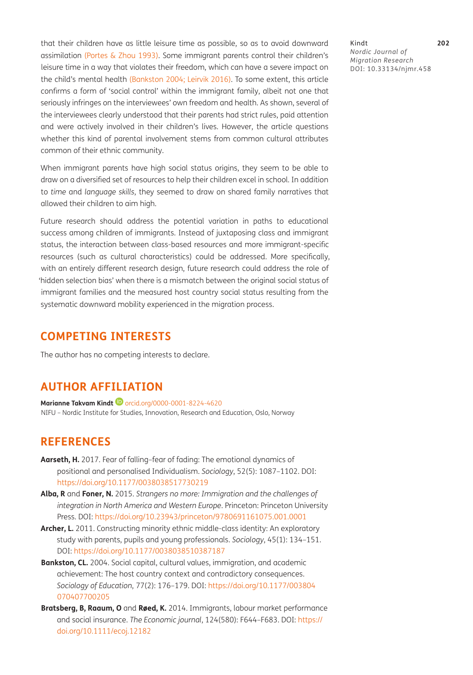that their children have as little leisure time as possible, so as to avoid downward assimilation [\(Portes & Zhou 1993\)](#page-14-5). Some immigrant parents control their children's leisure time in a way that violates their freedom, which can have a severe impact on the child's mental health [\(Bankston 2004](#page-12-3); [Leirvik 2016\)](#page-14-2). To some extent, this article confirms a form of 'social control' within the immigrant family, albeit not one that seriously infringes on the interviewees' own freedom and health. As shown, several of the interviewees clearly understood that their parents had strict rules, paid attention and were actively involved in their children's lives. However, the article questions whether this kind of parental involvement stems from common cultural attributes common of their ethnic community.

When immigrant parents have high social status origins, they seem to be able to draw on a diversified set of resources to help their children excel in school. In addition to *time* and *language skills*, they seemed to draw on shared family narratives that allowed their children to aim high.

Future research should address the potential variation in paths to educational success among children of immigrants. Instead of juxtaposing class and immigrant status, the interaction between class-based resources and more immigrant-specific resources (such as cultural characteristics) could be addressed. More specifically, with an entirely different research design, future research could address the role of 'hidden selection bias' when there is a mismatch between the original social status of immigrant families and the measured host country social status resulting from the systematic downward mobility experienced in the migration process.

# **COMPETING INTERESTS**

The author has no competing interests to declare.

# **AUTHOR AFFILIATION**

**Marianne Takvam Kindt ©** [orcid.org/0000-0001-8224-4620](https://orcid.org/0000-0001-8224-4620) NIFU – Nordic Institute for Studies, Innovation, Research and Education, Oslo, Norway

## **REFERENCES**

- <span id="page-12-1"></span>**Aarseth, H.** 2017. Fear of falling–fear of fading: The emotional dynamics of positional and personalised Individualism. *Sociology*, 52(5): 1087–1102. DOI: <https://doi.org/10.1177/0038038517730219>
- <span id="page-12-0"></span>**Alba, R** and **Foner, N.** 2015. *Strangers no more: Immigration and the challenges of integration in North America and Western Europe*. Princeton: Princeton University Press. DOI: <https://doi.org/10.23943/princeton/9780691161075.001.0001>
- <span id="page-12-2"></span>**Archer, L.** 2011. Constructing minority ethnic middle-class identity: An exploratory study with parents, pupils and young professionals. *Sociology*, 45(1): 134–151. DOI: <https://doi.org/10.1177/0038038510387187>
- <span id="page-12-3"></span>**Bankston, CL.** 2004. Social capital, cultural values, immigration, and academic achievement: The host country context and contradictory consequences. *Sociology of Education*, 77(2): 176–179. DOI: [https://doi.org/10.1177/003804](https://doi.org/10.1177/003804070407700205) [070407700205](https://doi.org/10.1177/003804070407700205)
- **Bratsberg, B, Raaum, O** and **Røed, K.** 2014. Immigrants, labour market performance and social insurance. *The Economic journal*, 124(580): F644–F683. DOI: [https://](https://doi.org/10.1111/ecoj.12182) [doi.org/10.1111/ecoj.12182](https://doi.org/10.1111/ecoj.12182)

Kindt **202** *Nordic Journal of Migration Research* DOI: [10.33134/njmr.458](https://doi.org/10.33134/njmr.458)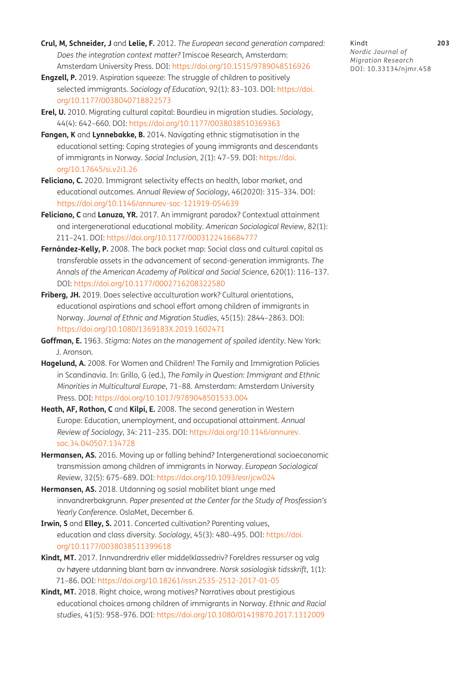- <span id="page-13-8"></span>**Crul, M, Schneider, J** and **Lelie, F.** 2012. *The European second generation compared: Does the integration context matter?* Imiscoe Research, Amsterdam: Amsterdam University Press. DOI: <https://doi.org/10.1515/9789048516926>
- <span id="page-13-3"></span>**Engzell, P.** 2019. Aspiration squeeze: The struggle of children to positively selected immigrants. *Sociology of Education*, 92(1): 83–103. DOI: [https://doi.](https://doi.org/10.1177/0038040718822573) [org/10.1177/0038040718822573](https://doi.org/10.1177/0038040718822573)
- <span id="page-13-7"></span>**Erel, U.** 2010. Migrating cultural capital: Bourdieu in migration studies. *Sociology*, 44(4): 642–660. DOI: <https://doi.org/10.1177/0038038510369363>
- <span id="page-13-14"></span>**Fangen, K** and Lynnebakke, B. 2014. Navigating ethnic stigmatisation in the educational setting: Coping strategies of young immigrants and descendants of immigrants in Norway. *Social Inclusion*, 2(1): 47–59. DOI: [https://doi.](https://doi.org/10.17645/si.v2i1.26) [org/10.17645/si.v2i1.26](https://doi.org/10.17645/si.v2i1.26)
- <span id="page-13-2"></span>**Feliciano, C.** 2020. Immigrant selectivity effects on health, labor market, and educational outcomes. *Annual Review of Sociology*, 46(2020): 315–334. DOI: <https://doi.org/10.1146/annurev-soc-121919-054639>
- <span id="page-13-4"></span>**Feliciano, C** and Lanuza, YR. 2017. An immigrant paradox? Contextual attainment and intergenerational educational mobility. *American Sociological Review*, 82(1): 211–241. DOI:<https://doi.org/10.1177/0003122416684777>
- **Fernández-Kelly, P.** 2008. The back pocket map: Social class and cultural capital as transferable assets in the advancement of second-generation immigrants. *The Annals of the American Academy of Political and Social Science*, 620(1): 116–137. DOI: <https://doi.org/10.1177/0002716208322580>
- <span id="page-13-5"></span>**Friberg, JH.** 2019. Does selective acculturation work? Cultural orientations, educational aspirations and school effort among children of immigrants in Norway. *Journal of Ethnic and Migration Studies*, 45(15): 2844–2863. DOI: <https://doi.org/10.1080/1369183X.2019.1602471>
- <span id="page-13-13"></span>**Goffman, E.** 1963. *Stigma: Notes on the management of spoiled identity*. New York: J. Aronson.
- <span id="page-13-9"></span>**Hagelund, A.** 2008. For Women and Children! The Family and Immigration Policies in Scandinavia. In: Grillo, G (ed.), *The Family in Question: Immigrant and Ethnic Minorities in Multicultural Europe*, 71–88. Amsterdam: Amsterdam University Press. DOI: <https://doi.org/10.1017/9789048501533.004>
- <span id="page-13-1"></span>**Heath, AF, Rothon, C** and **Kilpi, E.** 2008. The second generation in Western Europe: Education, unemployment, and occupational attainment. *Annual Review of Sociology*, 34: 211–235. DOI: [https://doi.org/10.1146/annurev.](https://doi.org/10.1146/annurev.soc.34.040507.134728) [soc.34.040507.134728](https://doi.org/10.1146/annurev.soc.34.040507.134728)
- <span id="page-13-0"></span>**Hermansen, AS.** 2016. Moving up or falling behind? Intergenerational socioeconomic transmission among children of immigrants in Norway. *European Sociological Review*, 32(5): 675–689. DOI: <https://doi.org/10.1093/esr/jcw024>
- <span id="page-13-6"></span>**Hermansen, AS.** 2018. Utdanning og sosial mobilitet blant unge med innvandrerbakgrunn. *Paper presented at the Center for the Study of Prosfession's Yearly Conference*. OsloMet, December 6.
- <span id="page-13-11"></span>**Irwin, S** and **Elley, S.** 2011. Concerted cultivation? Parenting values, education and class diversity. *Sociology*, 45(3): 480–495. DOI: [https://doi.](https://doi.org/10.1177/0038038511399618) [org/10.1177/0038038511399618](https://doi.org/10.1177/0038038511399618)
- <span id="page-13-12"></span>**Kindt, MT.** 2017. Innvandrerdriv eller middelklassedriv? Foreldres ressurser og valg av høyere utdanning blant barn av innvandrere. *Norsk sosiologisk tidsskrift*, 1(1): 71–86. DOI: <https://doi.org/10.18261/issn.2535-2512-2017-01-05>
- <span id="page-13-10"></span>**Kindt, MT.** 2018. Right choice, wrong motives? Narratives about prestigious educational choices among children of immigrants in Norway. *Ethnic and Racial studies*, 41(5): 958–976. DOI: <https://doi.org/10.1080/01419870.2017.1312009>

Kindt **203** *Nordic Journal of Migration Research* DOI: [10.33134/njmr.458](https://doi.org/10.33134/njmr.458)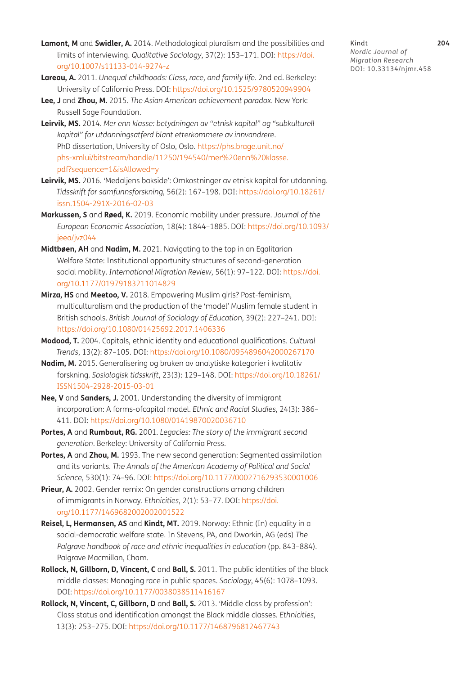- <span id="page-14-7"></span>**Lamont, M** and **Swidler, A.** 2014. Methodological pluralism and the possibilities and limits of interviewing. *Qualitative Sociology*, 37(2): 153–171. DOI: [https://doi.](https://doi.org/10.1007/s11133-014-9274-z) [org/10.1007/s11133-014-9274-z](https://doi.org/10.1007/s11133-014-9274-z)
- <span id="page-14-0"></span>**Lareau, A.** 2011. *Unequal childhoods: Class, race, and family life*. 2nd ed. Berkeley: University of California Press. DOI:<https://doi.org/10.1525/9780520949904>
- <span id="page-14-1"></span>**Lee, J** and **Zhou, M.** 2015. *The Asian American achievement paradox*. New York: Russell Sage Foundation.
- <span id="page-14-11"></span>**Leirvik, MS.** 2014. *Mer enn klasse: betydningen av "etnisk kapital" og "subkulturell kapital" for utdanningsatferd blant etterkommere av innvandrere*. PhD dissertation, University of Oslo, Oslo. [https://phs.brage.unit.no/](https://phs.brage.unit.no/phs-xmlui/bitstream/handle/11250/194540/mer%20enn%20klasse.pdf?sequence=1&isAllowed=y) [phs-xmlui/bitstream/handle/11250/194540/mer%20enn%20klasse.](https://phs.brage.unit.no/phs-xmlui/bitstream/handle/11250/194540/mer%20enn%20klasse.pdf?sequence=1&isAllowed=y) [pdf?sequence=1&isAllowed=y](https://phs.brage.unit.no/phs-xmlui/bitstream/handle/11250/194540/mer%20enn%20klasse.pdf?sequence=1&isAllowed=y)
- <span id="page-14-2"></span>**Leirvik, MS.** 2016. 'Medaljens bakside': Omkostninger av etnisk kapital for utdanning. *Tidsskrift for samfunnsforskning*, 56(2): 167–198. DOI: [https://doi.org/10.18261/](https://doi.org/10.18261/issn.1504-291X-2016-02-03) [issn.1504-291X-2016-02-03](https://doi.org/10.18261/issn.1504-291X-2016-02-03)
- **Markussen, S** and **Røed, K.** 2019. Economic mobility under pressure. *Journal of the European Economic Association*, 18(4): 1844–1885. DOI: [https://doi.org/10.1093/](https://doi.org/10.1093/jeea/jvz044) [jeea/jvz044](https://doi.org/10.1093/jeea/jvz044)
- **Midtbøen, AH** and **Nadim, M.** 2021. Navigating to the top in an Egalitarian Welfare State: Institutional opportunity structures of second-generation social mobility. *International Migration Review*, 56(1): 97–122. DOI: [https://doi.](https://doi.org/10.1177/01979183211014829) [org/10.1177/01979183211014829](https://doi.org/10.1177/01979183211014829)
- <span id="page-14-6"></span>**Mirza, HS** and **Meetoo, V.** 2018. Empowering Muslim girls? Post-feminism, multiculturalism and the production of the 'model' Muslim female student in British schools. *British Journal of Sociology of Education*, 39(2): 227–241. DOI: <https://doi.org/10.1080/01425692.2017.1406336>
- <span id="page-14-3"></span>**Modood, T.** 2004. Capitals, ethnic identity and educational qualifications. *Cultural Trends*, 13(2): 87–105. DOI: <https://doi.org/10.1080/0954896042000267170>
- <span id="page-14-8"></span>**Nadim, M.** 2015. Generalisering og bruken av analytiske kategorier i kvalitativ forskning. *Sosiologisk tidsskrift*, 23(3): 129–148. DOI: [https://doi.org/10.18261/](https://doi.org/10.18261/ISSN1504-2928-2015-03-01) [ISSN1504-2928-2015-03-01](https://doi.org/10.18261/ISSN1504-2928-2015-03-01)
- <span id="page-14-12"></span>**Nee, V** and **Sanders, J.** 2001. Understanding the diversity of immigrant incorporation: A forms-ofcapital model. *Ethnic and Racial Studies*, 24(3): 386– 411. DOI: <https://doi.org/10.1080/01419870020036710>
- <span id="page-14-4"></span>**Portes, A** and **Rumbaut, RG.** 2001. *Legacies: The story of the immigrant second generation*. Berkeley: University of California Press.
- <span id="page-14-5"></span>**Portes, A** and **Zhou, M.** 1993. The new second generation: Segmented assimilation and its variants. *The Annals of the American Academy of Political and Social Science*, 530(1): 74–96. DOI:<https://doi.org/10.1177/0002716293530001006>
- <span id="page-14-9"></span>**Prieur, A.** 2002. Gender remix: On gender constructions among children of immigrants in Norway. *Ethnicities*, 2(1): 53–77. DOI: [https://doi.](https://doi.org/10.1177/1469682002002001522) [org/10.1177/1469682002002001522](https://doi.org/10.1177/1469682002002001522)
- <span id="page-14-10"></span>**Reisel, L, Hermansen, AS** and **Kindt, MT.** 2019. Norway: Ethnic (In) equality in a social-democratic welfare state. In Stevens, PA, and Dworkin, AG (eds) *The Palgrave handbook of race and ethnic inequalities in education* (pp. 843–884). Palgrave Macmillan, Cham.
- <span id="page-14-13"></span>**Rollock, N, Gillborn, D, Vincent, C** and **Ball, S.** 2011. The public identities of the black middle classes: Managing race in public spaces. *Sociology*, 45(6): 1078–1093. DOI: <https://doi.org/10.1177/0038038511416167>
- <span id="page-14-14"></span>**Rollock, N, Vincent, C, Gillborn, D** and **Ball, S.** 2013. 'Middle class by profession': Class status and identification amongst the Black middle classes. *Ethnicities*, 13(3): 253–275. DOI:<https://doi.org/10.1177/1468796812467743>

Kindt **204** *Nordic Journal of Migration Research* DOI: [10.33134/njmr.458](https://doi.org/10.33134/njmr.458)